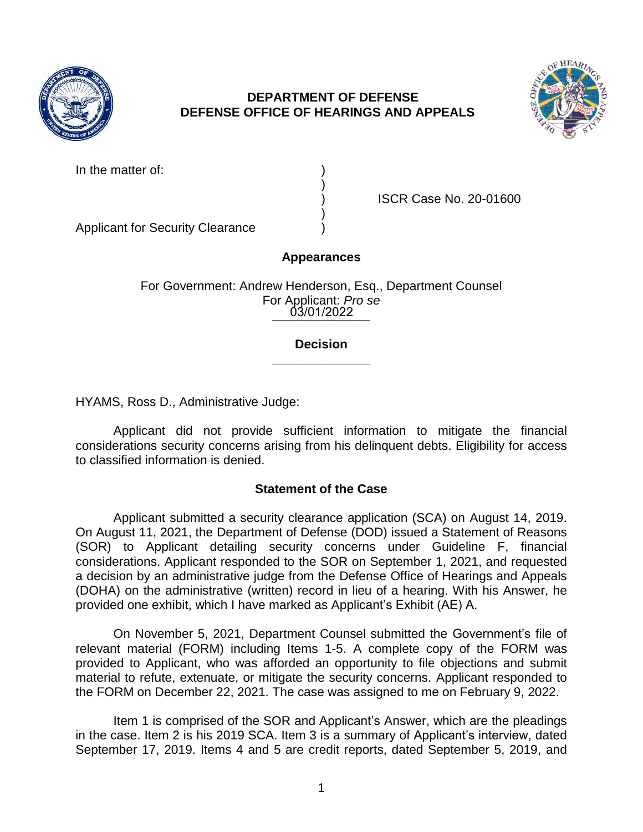

# **DEPARTMENT OF DEFENSE DEFENSE OFFICE OF HEARINGS AND APPEALS**



In the matter of:

|  |  | ) ) )<br>) ) |
|--|--|--------------|
|  |  |              |
|  |  |              |
|  |  |              |

) ISCR Case No. 20-01600

Applicant for Security Clearance )

## **Appearances**

**\_\_\_\_\_\_\_\_\_\_\_\_\_\_**  03/01/2022 For Government: Andrew Henderson, Esq., Department Counsel For Applicant: *Pro se* 

#### **\_\_\_\_\_\_\_\_\_\_\_\_\_\_ Decision**

HYAMS, Ross D., Administrative Judge:

 Applicant did not provide sufficient information to mitigate the financial considerations security concerns arising from his delinquent debts. Eligibility for access to classified information is denied.

## **Statement of the Case**

 Applicant submitted a security clearance application (SCA) on August 14, 2019. (SOR) to Applicant detailing security concerns under Guideline F, financial considerations. Applicant responded to the SOR on September 1, 2021, and requested a decision by an administrative judge from the Defense Office of Hearings and Appeals (DOHA) on the administrative (written) record in lieu of a hearing. With his Answer, he On August 11, 2021, the Department of Defense (DOD) issued a Statement of Reasons provided one exhibit, which I have marked as Applicant's Exhibit (AE) A.

 On November 5, 2021, Department Counsel submitted the Government's file of relevant material (FORM) including Items 1-5. A complete copy of the FORM was provided to Applicant, who was afforded an opportunity to file objections and submit material to refute, extenuate, or mitigate the security concerns. Applicant responded to the FORM on December 22, 2021. The case was assigned to me on February 9, 2022.

 Item 1 is comprised of the SOR and Applicant's Answer, which are the pleadings in the case. Item 2 is his 2019 SCA. Item 3 is a summary of Applicant's interview, dated September 17, 2019. Items 4 and 5 are credit reports, dated September 5, 2019, and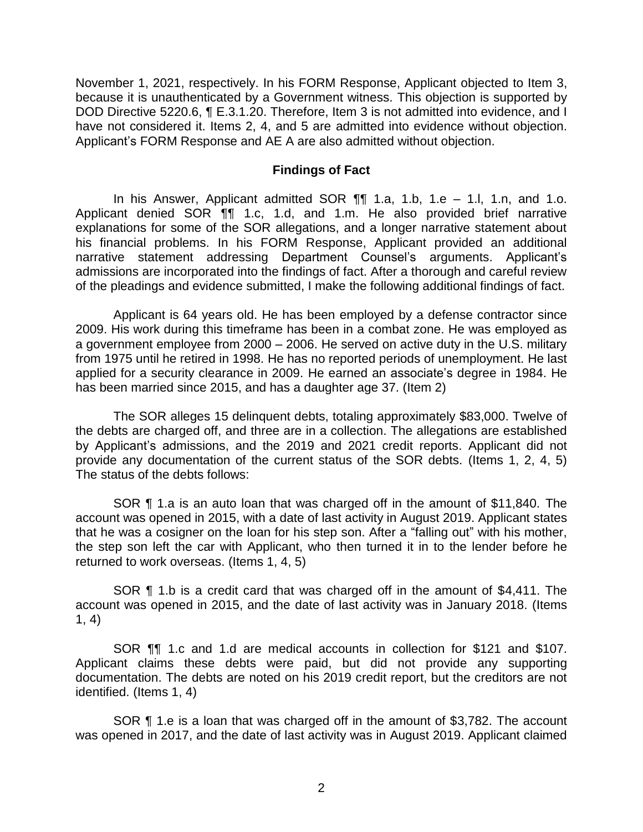November 1, 2021, respectively. In his FORM Response, Applicant objected to Item 3, because it is unauthenticated by a Government witness. This objection is supported by DOD Directive 5220.6, ¶ E.3.1.20. Therefore, Item 3 is not admitted into evidence, and I have not considered it. Items 2, 4, and 5 are admitted into evidence without objection. Applicant's FORM Response and AE A are also admitted without objection.

#### **Findings of Fact**

 In his Answer, Applicant admitted SOR ¶¶ 1.a, 1.b, 1.e – 1.l, 1.n, and 1.o. Applicant denied SOR ¶¶ 1.c, 1.d, and 1.m. He also provided brief narrative explanations for some of the SOR allegations, and a longer narrative statement about his financial problems. In his FORM Response, Applicant provided an additional admissions are incorporated into the findings of fact. After a thorough and careful review narrative statement addressing Department Counsel's arguments. Applicant's of the pleadings and evidence submitted, I make the following additional findings of fact.

 Applicant is 64 years old. He has been employed by a defense contractor since 2009. His work during this timeframe has been in a combat zone. He was employed as a government employee from 2000 – 2006. He served on active duty in the U.S. military applied for a security clearance in 2009. He earned an associate's degree in 1984. He from 1975 until he retired in 1998. He has no reported periods of unemployment. He last has been married since 2015, and has a daughter age 37. (Item 2)

 The SOR alleges 15 delinquent debts, totaling approximately \$83,000. Twelve of the debts are charged off, and three are in a collection. The allegations are established by Applicant's admissions, and the 2019 and 2021 credit reports. Applicant did not provide any documentation of the current status of the SOR debts. (Items 1, 2, 4, 5) The status of the debts follows:

 SOR ¶ 1.a is an auto loan that was charged off in the amount of \$11,840. The that he was a cosigner on the loan for his step son. After a "falling out" with his mother, the step son left the car with Applicant, who then turned it in to the lender before he account was opened in 2015, with a date of last activity in August 2019. Applicant states returned to work overseas. (Items 1, 4, 5)

 SOR ¶ 1.b is a credit card that was charged off in the amount of \$4,411. The account was opened in 2015, and the date of last activity was in January 2018. (Items 1, 4)

 SOR ¶¶ 1.c and 1.d are medical accounts in collection for \$121 and \$107. documentation. The debts are noted on his 2019 credit report, but the creditors are not Applicant claims these debts were paid, but did not provide any supporting identified. (Items 1, 4)

 SOR ¶ 1.e is a loan that was charged off in the amount of \$3,782. The account was opened in 2017, and the date of last activity was in August 2019. Applicant claimed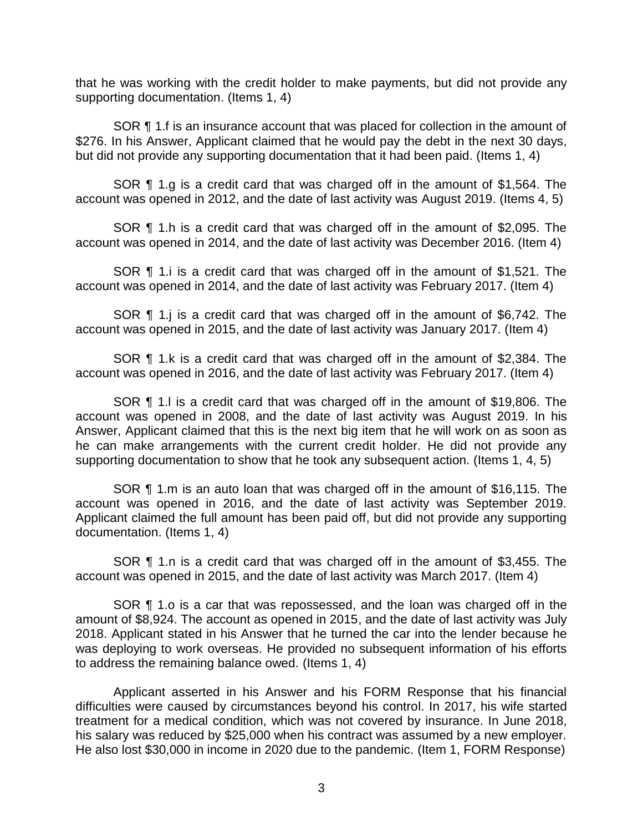that he was working with the credit holder to make payments, but did not provide any supporting documentation. (Items 1, 4)

SOR **[1** 1.f is an insurance account that was placed for collection in the amount of \$276. In his Answer, Applicant claimed that he would pay the debt in the next 30 days, but did not provide any supporting documentation that it had been paid. (Items 1, 4)

 SOR ¶ 1.g is a credit card that was charged off in the amount of \$1,564. The account was opened in 2012, and the date of last activity was August 2019. (Items 4, 5)

 SOR ¶ 1.h is a credit card that was charged off in the amount of \$2,095. The account was opened in 2014, and the date of last activity was December 2016. (Item 4)

 SOR ¶ 1.i is a credit card that was charged off in the amount of \$1,521. The account was opened in 2014, and the date of last activity was February 2017. (Item 4)

 SOR ¶ 1.j is a credit card that was charged off in the amount of \$6,742. The account was opened in 2015, and the date of last activity was January 2017. (Item 4)

 SOR ¶ 1.k is a credit card that was charged off in the amount of \$2,384. The account was opened in 2016, and the date of last activity was February 2017. (Item 4)

 SOR ¶ 1.l is a credit card that was charged off in the amount of \$19,806. The account was opened in 2008, and the date of last activity was August 2019. In his Answer, Applicant claimed that this is the next big item that he will work on as soon as he can make arrangements with the current credit holder. He did not provide any supporting documentation to show that he took any subsequent action. (Items 1, 4, 5)

 SOR ¶ 1.m is an auto loan that was charged off in the amount of \$16,115. The account was opened in 2016, and the date of last activity was September 2019. Applicant claimed the full amount has been paid off, but did not provide any supporting documentation. (Items 1, 4)

 SOR ¶ 1.n is a credit card that was charged off in the amount of \$3,455. The account was opened in 2015, and the date of last activity was March 2017. (Item 4)

SOR ¶ 1.o is a car that was repossessed, and the loan was charged off in the amount of \$8,924. The account as opened in 2015, and the date of last activity was July 2018. Applicant stated in his Answer that he turned the car into the lender because he was deploying to work overseas. He provided no subsequent information of his efforts to address the remaining balance owed. (Items 1, 4)

 Applicant asserted in his Answer and his FORM Response that his financial difficulties were caused by circumstances beyond his control. In 2017, his wife started treatment for a medical condition, which was not covered by insurance. In June 2018, his salary was reduced by \$25,000 when his contract was assumed by a new employer. He also lost \$30,000 in income in 2020 due to the pandemic. (Item 1, FORM Response)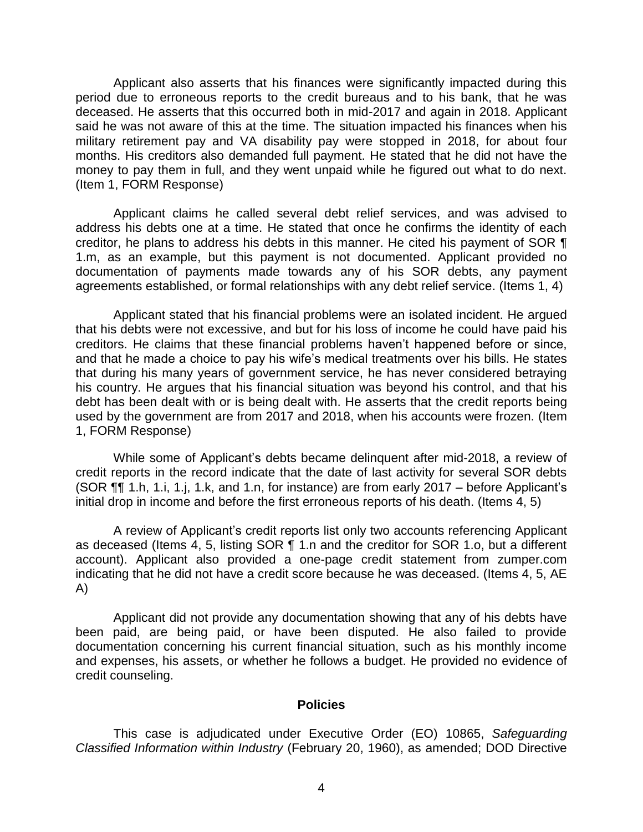Applicant also asserts that his finances were significantly impacted during this period due to erroneous reports to the credit bureaus and to his bank, that he was deceased. He asserts that this occurred both in mid-2017 and again in 2018. Applicant said he was not aware of this at the time. The situation impacted his finances when his military retirement pay and VA disability pay were stopped in 2018, for about four months. His creditors also demanded full payment. He stated that he did not have the money to pay them in full, and they went unpaid while he figured out what to do next. (Item 1, FORM Response)

 Applicant claims he called several debt relief services, and was advised to address his debts one at a time. He stated that once he confirms the identity of each creditor, he plans to address his debts in this manner. He cited his payment of SOR  $\P$  documentation of payments made towards any of his SOR debts, any payment 1.m, as an example, but this payment is not documented. Applicant provided no agreements established, or formal relationships with any debt relief service. (Items 1, 4)

 Applicant stated that his financial problems were an isolated incident. He argued that his debts were not excessive, and but for his loss of income he could have paid his and that he made a choice to pay his wife's medical treatments over his bills. He states that during his many years of government service, he has never considered betraying his country. He argues that his financial situation was beyond his control, and that his debt has been dealt with or is being dealt with. He asserts that the credit reports being used by the government are from 2017 and 2018, when his accounts were frozen. (Item creditors. He claims that these financial problems haven't happened before or since, 1, FORM Response)

 credit reports in the record indicate that the date of last activity for several SOR debts (SOR ¶¶ 1.h, 1.i, 1.j, 1.k, and 1.n, for instance) are from early 2017 – before Applicant's While some of Applicant's debts became delinquent after mid-2018, a review of initial drop in income and before the first erroneous reports of his death. (Items 4, 5)

A review of Applicant's credit reports list only two accounts referencing Applicant as deceased (Items 4, 5, listing SOR ¶ 1.n and the creditor for SOR 1.o, but a different account). Applicant also provided a one-page credit statement from zumper.com indicating that he did not have a credit score because he was deceased. (Items 4, 5, AE A)

 Applicant did not provide any documentation showing that any of his debts have been paid, are being paid, or have been disputed. He also failed to provide documentation concerning his current financial situation, such as his monthly income and expenses, his assets, or whether he follows a budget. He provided no evidence of credit counseling.

#### **Policies**

 *Classified Information within Industry* (February 20, 1960), as amended; DOD Directive This case is adjudicated under Executive Order (EO) 10865, *Safeguarding*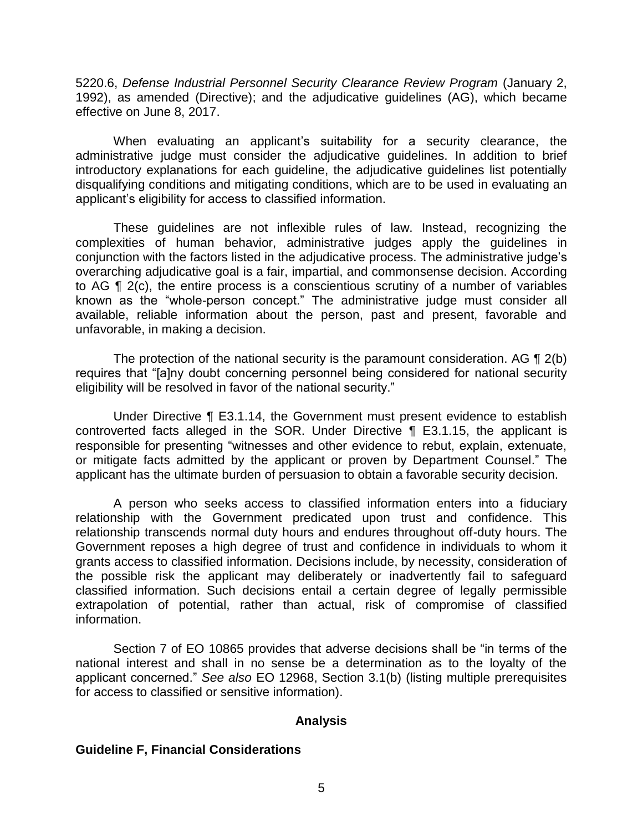5220.6, *Defense Industrial Personnel Security Clearance Review Program* (January 2, 1992), as amended (Directive); and the adjudicative guidelines (AG), which became effective on June 8, 2017.

 When evaluating an applicant's suitability for a security clearance, the administrative judge must consider the adjudicative guidelines. In addition to brief introductory explanations for each guideline, the adjudicative guidelines list potentially disqualifying conditions and mitigating conditions, which are to be used in evaluating an applicant's eligibility for access to classified information.

 These guidelines are not inflexible rules of law. Instead, recognizing the complexities of human behavior, administrative judges apply the guidelines in conjunction with the factors listed in the adjudicative process. The administrative judge's overarching adjudicative goal is a fair, impartial, and commonsense decision. According to AG ¶ 2(c), the entire process is a conscientious scrutiny of a number of variables known as the "whole-person concept." The administrative judge must consider all available, reliable information about the person, past and present, favorable and unfavorable, in making a decision.

The protection of the national security is the paramount consideration. AG  $\P$  2(b) eligibility will be resolved in favor of the national security." requires that "[a]ny doubt concerning personnel being considered for national security

 Under Directive ¶ E3.1.14, the Government must present evidence to establish controverted facts alleged in the SOR. Under Directive ¶ E3.1.15, the applicant is responsible for presenting "witnesses and other evidence to rebut, explain, extenuate, or mitigate facts admitted by the applicant or proven by Department Counsel." The applicant has the ultimate burden of persuasion to obtain a favorable security decision.

 A person who seeks access to classified information enters into a fiduciary relationship with the Government predicated upon trust and confidence. This relationship transcends normal duty hours and endures throughout off-duty hours. The Government reposes a high degree of trust and confidence in individuals to whom it grants access to classified information. Decisions include, by necessity, consideration of the possible risk the applicant may deliberately or inadvertently fail to safeguard classified information. Such decisions entail a certain degree of legally permissible extrapolation of potential, rather than actual, risk of compromise of classified information.

 Section 7 of EO 10865 provides that adverse decisions shall be "in terms of the national interest and shall in no sense be a determination as to the loyalty of the applicant concerned." *See also* EO 12968, Section 3.1(b) (listing multiple prerequisites for access to classified or sensitive information).

## **Analysis**

#### **Guideline F, Financial Considerations**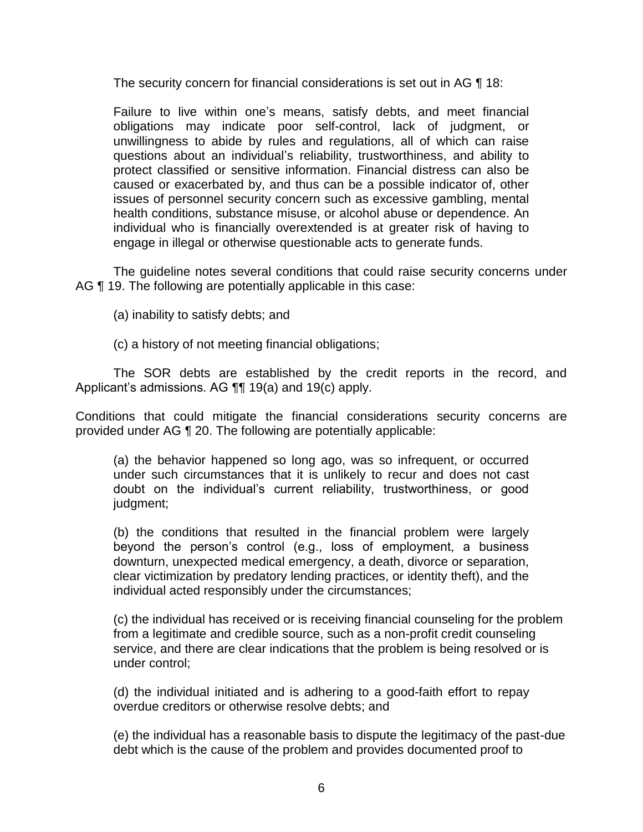The security concern for financial considerations is set out in AG ¶ 18:

 Failure to live within one's means, satisfy debts, and meet financial obligations may indicate poor self-control, lack of judgment, or unwillingness to abide by rules and regulations, all of which can raise questions about an individual's reliability, trustworthiness, and ability to protect classified or sensitive information. Financial distress can also be caused or exacerbated by, and thus can be a possible indicator of, other issues of personnel security concern such as excessive gambling, mental individual who is financially overextended is at greater risk of having to health conditions, substance misuse, or alcohol abuse or dependence. An engage in illegal or otherwise questionable acts to generate funds.

 The guideline notes several conditions that could raise security concerns under AG ¶ 19. The following are potentially applicable in this case:

(a) inability to satisfy debts; and

(c) a history of not meeting financial obligations;

 The SOR debts are established by the credit reports in the record, and Applicant's admissions. AG ¶¶ 19(a) and 19(c) apply.

 Conditions that could mitigate the financial considerations security concerns are provided under AG ¶ 20. The following are potentially applicable:

(a) the behavior happened so long ago, was so infrequent, or occurred under such circumstances that it is unlikely to recur and does not cast doubt on the individual's current reliability, trustworthiness, or good judgment;

(b) the conditions that resulted in the financial problem were largely beyond the person's control (e.g., loss of employment, a business downturn, unexpected medical emergency, a death, divorce or separation, clear victimization by predatory lending practices, or identity theft), and the individual acted responsibly under the circumstances;

(c) the individual has received or is receiving financial counseling for the problem from a legitimate and credible source, such as a non-profit credit counseling service, and there are clear indications that the problem is being resolved or is under control;

(d) the individual initiated and is adhering to a good-faith effort to repay overdue creditors or otherwise resolve debts; and

(e) the individual has a reasonable basis to dispute the legitimacy of the past-due debt which is the cause of the problem and provides documented proof to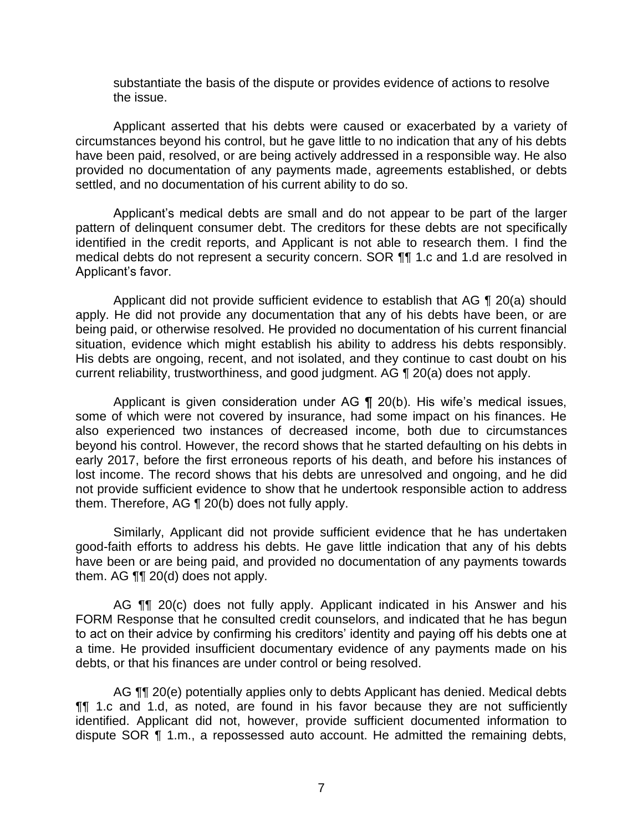substantiate the basis of the dispute or provides evidence of actions to resolve the issue.

 circumstances beyond his control, but he gave little to no indication that any of his debts have been paid, resolved, or are being actively addressed in a responsible way. He also provided no documentation of any payments made, agreements established, or debts settled, and no documentation of his current ability to do so. Applicant asserted that his debts were caused or exacerbated by a variety of

 Applicant's medical debts are small and do not appear to be part of the larger pattern of delinquent consumer debt. The creditors for these debts are not specifically identified in the credit reports, and Applicant is not able to research them. I find the medical debts do not represent a security concern. SOR ¶¶ 1.c and 1.d are resolved in Applicant's favor.

 Applicant did not provide sufficient evidence to establish that AG ¶ 20(a) should apply. He did not provide any documentation that any of his debts have been, or are situation, evidence which might establish his ability to address his debts responsibly. His debts are ongoing, recent, and not isolated, and they continue to cast doubt on his current reliability, trustworthiness, and good judgment. AG ¶ 20(a) does not apply. being paid, or otherwise resolved. He provided no documentation of his current financial

 Applicant is given consideration under AG ¶ 20(b). His wife's medical issues, some of which were not covered by insurance, had some impact on his finances. He also experienced two instances of decreased income, both due to circumstances beyond his control. However, the record shows that he started defaulting on his debts in early 2017, before the first erroneous reports of his death, and before his instances of lost income. The record shows that his debts are unresolved and ongoing, and he did not provide sufficient evidence to show that he undertook responsible action to address them. Therefore, AG ¶ 20(b) does not fully apply.

 good-faith efforts to address his debts. He gave little indication that any of his debts have been or are being paid, and provided no documentation of any payments towards Similarly, Applicant did not provide sufficient evidence that he has undertaken them. AG ¶¶ 20(d) does not apply.

AG **[1]** 20(c) does not fully apply. Applicant indicated in his Answer and his FORM Response that he consulted credit counselors, and indicated that he has begun to act on their advice by confirming his creditors' identity and paying off his debts one at a time. He provided insufficient documentary evidence of any payments made on his debts, or that his finances are under control or being resolved.

AG **¶¶** 20(e) potentially applies only to debts Applicant has denied. Medical debts ¶¶ 1.c and 1.d, as noted, are found in his favor because they are not sufficiently identified. Applicant did not, however, provide sufficient documented information to dispute SOR ¶ 1.m., a repossessed auto account. He admitted the remaining debts,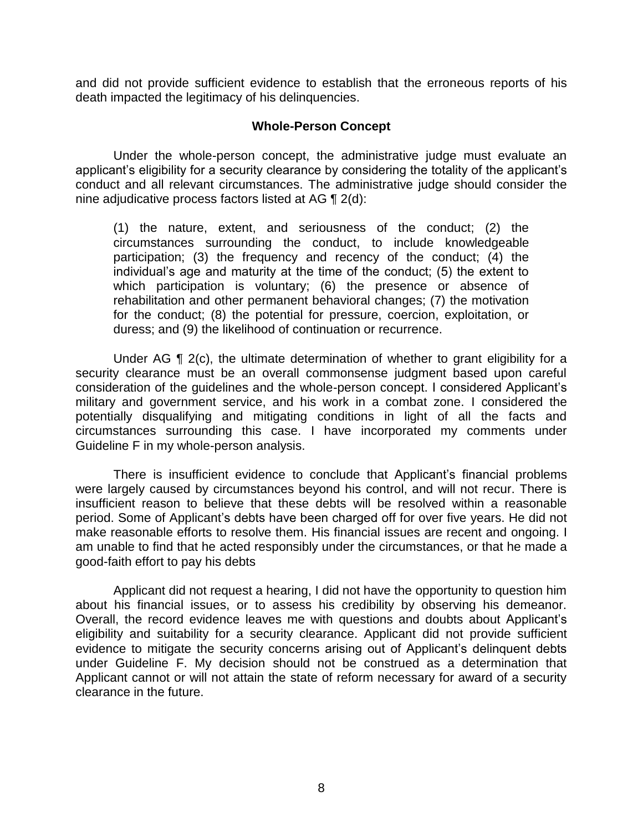and did not provide sufficient evidence to establish that the erroneous reports of his death impacted the legitimacy of his delinquencies.

#### **Whole-Person Concept**

Under the whole-person concept, the administrative judge must evaluate an applicant's eligibility for a security clearance by considering the totality of the applicant's conduct and all relevant circumstances. The administrative judge should consider the nine adjudicative process factors listed at AG ¶ 2(d):

(1) the nature, extent, and seriousness of the conduct; (2) the circumstances surrounding the conduct, to include knowledgeable participation; (3) the frequency and recency of the conduct; (4) the individual's age and maturity at the time of the conduct; (5) the extent to which participation is voluntary; (6) the presence or absence of rehabilitation and other permanent behavioral changes; (7) the motivation for the conduct; (8) the potential for pressure, coercion, exploitation, or duress; and (9) the likelihood of continuation or recurrence.

 Under AG ¶ 2(c), the ultimate determination of whether to grant eligibility for a security clearance must be an overall commonsense judgment based upon careful consideration of the guidelines and the whole-person concept. I considered Applicant's military and government service, and his work in a combat zone. I considered the potentially disqualifying and mitigating conditions in light of all the facts and circumstances surrounding this case. I have incorporated my comments under Guideline F in my whole-person analysis.

 There is insufficient evidence to conclude that Applicant's financial problems were largely caused by circumstances beyond his control, and will not recur. There is insufficient reason to believe that these debts will be resolved within a reasonable period. Some of Applicant's debts have been charged off for over five years. He did not make reasonable efforts to resolve them. His financial issues are recent and ongoing. I am unable to find that he acted responsibly under the circumstances, or that he made a good-faith effort to pay his debts

 about his financial issues, or to assess his credibility by observing his demeanor. Overall, the record evidence leaves me with questions and doubts about Applicant's eligibility and suitability for a security clearance. Applicant did not provide sufficient evidence to mitigate the security concerns arising out of Applicant's delinquent debts under Guideline F. My decision should not be construed as a determination that Applicant cannot or will not attain the state of reform necessary for award of a security Applicant did not request a hearing, I did not have the opportunity to question him clearance in the future.